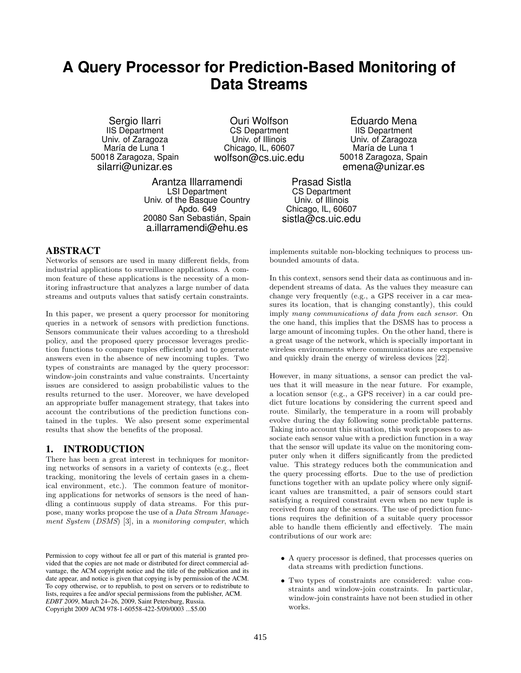# **A Query Processor for Prediction-Based Monitoring of Data Streams**

Sergio Ilarri IIS Department Univ. of Zaragoza María de Luna 1 50018 Zaragoza, Spain silarri@unizar.es

Ouri Wolfson CS Department Univ. of Illinois Chicago, IL, 60607 wolfson@cs.uic.edu

Arantza Illarramendi LSI Department Univ. of the Basque Country Apdo. 649 20080 San Sebastián, Spain a.illarramendi@ehu.es

# **ABSTRACT**

Networks of sensors are used in many different fields, from industrial applications to surveillance applications. A common feature of these applications is the necessity of a monitoring infrastructure that analyzes a large number of data streams and outputs values that satisfy certain constraints.

In this paper, we present a query processor for monitoring queries in a network of sensors with prediction functions. Sensors communicate their values according to a threshold policy, and the proposed query processor leverages prediction functions to compare tuples efficiently and to generate answers even in the absence of new incoming tuples. Two types of constraints are managed by the query processor: window-join constraints and value constraints. Uncertainty issues are considered to assign probabilistic values to the results returned to the user. Moreover, we have developed an appropriate buffer management strategy, that takes into account the contributions of the prediction functions contained in the tuples. We also present some experimental results that show the benefits of the proposal.

# **1. INTRODUCTION**

There has been a great interest in techniques for monitoring networks of sensors in a variety of contexts (e.g., fleet tracking, monitoring the levels of certain gases in a chemical environment, etc.). The common feature of monitoring applications for networks of sensors is the need of handling a continuous supply of data streams. For this purpose, many works propose the use of a Data Stream Management System (DSMS) [3], in a monitoring computer, which

Permission to copy without fee all or part of this material is granted provided that the copies are not made or distributed for direct commercial advantage, the ACM copyright notice and the title of the publication and its date appear, and notice is given that copying is by permission of the ACM. To copy otherwise, or to republish, to post on servers or to redistribute to lists, requires a fee and/or special permissions from the publisher, ACM. *EDBT 2009*, March 24–26, 2009, Saint Petersburg, Russia. Copyright 2009 ACM 978-1-60558-422-5/09/0003 ...\$5.00

Eduardo Mena IIS Department Univ. of Zaragoza María de Luna 1 50018 Zaragoza, Spain emena@unizar.es

Prasad Sistla CS Department Univ. of Illinois Chicago, IL, 60607 sistla@cs.uic.edu

implements suitable non-blocking techniques to process unbounded amounts of data.

In this context, sensors send their data as continuous and independent streams of data. As the values they measure can change very frequently (e.g., a GPS receiver in a car measures its location, that is changing constantly), this could imply many communications of data from each sensor. On the one hand, this implies that the DSMS has to process a large amount of incoming tuples. On the other hand, there is a great usage of the network, which is specially important in wireless environments where communications are expensive and quickly drain the energy of wireless devices [22].

However, in many situations, a sensor can predict the values that it will measure in the near future. For example, a location sensor (e.g., a GPS receiver) in a car could predict future locations by considering the current speed and route. Similarly, the temperature in a room will probably evolve during the day following some predictable patterns. Taking into account this situation, this work proposes to associate each sensor value with a prediction function in a way that the sensor will update its value on the monitoring computer only when it differs significantly from the predicted value. This strategy reduces both the communication and the query processing efforts. Due to the use of prediction functions together with an update policy where only significant values are transmitted, a pair of sensors could start satisfying a required constraint even when no new tuple is received from any of the sensors. The use of prediction functions requires the definition of a suitable query processor able to handle them efficiently and effectively. The main contributions of our work are:

- A query processor is defined, that processes queries on data streams with prediction functions.
- Two types of constraints are considered: value constraints and window-join constraints. In particular, window-join constraints have not been studied in other works.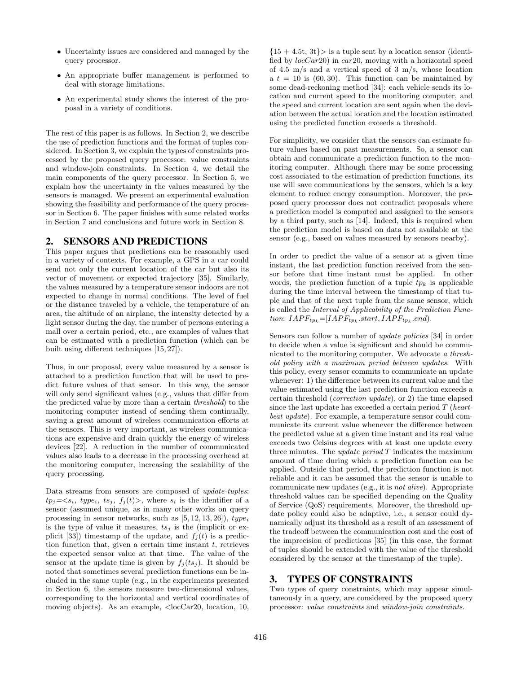- Uncertainty issues are considered and managed by the query processor.
- An appropriate buffer management is performed to deal with storage limitations.
- An experimental study shows the interest of the proposal in a variety of conditions.

The rest of this paper is as follows. In Section 2, we describe the use of prediction functions and the format of tuples considered. In Section 3, we explain the types of constraints processed by the proposed query processor: value constraints and window-join constraints. In Section 4, we detail the main components of the query processor. In Section 5, we explain how the uncertainty in the values measured by the sensors is managed. We present an experimental evaluation showing the feasibility and performance of the query processor in Section 6. The paper finishes with some related works in Section 7 and conclusions and future work in Section 8.

## **2. SENSORS AND PREDICTIONS**

This paper argues that predictions can be reasonably used in a variety of contexts. For example, a GPS in a car could send not only the current location of the car but also its vector of movement or expected trajectory [35]. Similarly, the values measured by a temperature sensor indoors are not expected to change in normal conditions. The level of fuel or the distance traveled by a vehicle, the temperature of an area, the altitude of an airplane, the intensity detected by a light sensor during the day, the number of persons entering a mall over a certain period, etc., are examples of values that can be estimated with a prediction function (which can be built using different techniques [15, 27]).

Thus, in our proposal, every value measured by a sensor is attached to a prediction function that will be used to predict future values of that sensor. In this way, the sensor will only send significant values (e.g., values that differ from the predicted value by more than a certain threshold) to the monitoring computer instead of sending them continually, saving a great amount of wireless communication efforts at the sensors. This is very important, as wireless communications are expensive and drain quickly the energy of wireless devices [22]. A reduction in the number of communicated values also leads to a decrease in the processing overhead at the monitoring computer, increasing the scalability of the query processing.

Data streams from sensors are composed of update-tuples:  $tp_i=, type<sub>i</sub>, ts<sub>i</sub>,  $f_i(t)$ , where  $s_i$  is the identifier of a$ sensor (assumed unique, as in many other works on query processing in sensor networks, such as  $[5, 12, 13, 26]$ , type<sub>i</sub> is the type of value it measures,  $ts_i$  is the (implicit or explicit [33]) timestamp of the update, and  $f_i(t)$  is a prediction function that, given a certain time instant  $t$ , retrieves the expected sensor value at that time. The value of the sensor at the update time is given by  $f_i(ts_i)$ . It should be noted that sometimes several prediction functions can be included in the same tuple (e.g., in the experiments presented in Section 6, the sensors measure two-dimensional values, corresponding to the horizontal and vertical coordinates of moving objects). As an example, <locCar20, location, 10,

 ${15 + 4.5t, 3t}$  is a tuple sent by a location sensor (identified by  $locCar20$ ) in  $car20$ , moving with a horizontal speed of 4.5 m/s and a vertical speed of 3 m/s, whose location a  $t = 10$  is (60, 30). This function can be maintained by some dead-reckoning method [34]: each vehicle sends its location and current speed to the monitoring computer, and the speed and current location are sent again when the deviation between the actual location and the location estimated using the predicted function exceeds a threshold.

For simplicity, we consider that the sensors can estimate future values based on past measurements. So, a sensor can obtain and communicate a prediction function to the monitoring computer. Although there may be some processing cost associated to the estimation of prediction functions, its use will save communications by the sensors, which is a key element to reduce energy consumption. Moreover, the proposed query processor does not contradict proposals where a prediction model is computed and assigned to the sensors by a third party, such as [14]. Indeed, this is required when the prediction model is based on data not available at the sensor (e.g., based on values measured by sensors nearby).

In order to predict the value of a sensor at a given time instant, the last prediction function received from the sensor before that time instant must be applied. In other words, the prediction function of a tuple  $tp_k$  is applicable during the time interval between the timestamp of that tuple and that of the next tuple from the same sensor, which is called the Interval of Applicability of the Prediction Function:  $IAPF_{tp_k} = [IAPF_{tp_k}.start, IAPF_{tp_k}.end$ 

Sensors can follow a number of update policies [34] in order to decide when a value is significant and should be communicated to the monitoring computer. We advocate a threshold policy with a maximum period between updates. With this policy, every sensor commits to communicate an update whenever: 1) the difference between its current value and the value estimated using the last prediction function exceeds a certain threshold (correction update), or 2) the time elapsed since the last update has exceeded a certain period  $T$  (heartbeat update). For example, a temperature sensor could communicate its current value whenever the difference between the predicted value at a given time instant and its real value exceeds two Celsius degrees with at least one update every three minutes. The  $update\ period\ T$  indicates the maximum amount of time during which a prediction function can be applied. Outside that period, the prediction function is not reliable and it can be assumed that the sensor is unable to communicate new updates (e.g., it is not alive). Appropriate threshold values can be specified depending on the Quality of Service (QoS) requirements. Moreover, the threshold update policy could also be adaptive, i.e., a sensor could dynamically adjust its threshold as a result of an assessment of the tradeoff between the communication cost and the cost of the imprecision of predictions [35] (in this case, the format of tuples should be extended with the value of the threshold considered by the sensor at the timestamp of the tuple).

# **3. TYPES OF CONSTRAINTS**

Two types of query constraints, which may appear simultaneously in a query, are considered by the proposed query processor: value constraints and window-join constraints.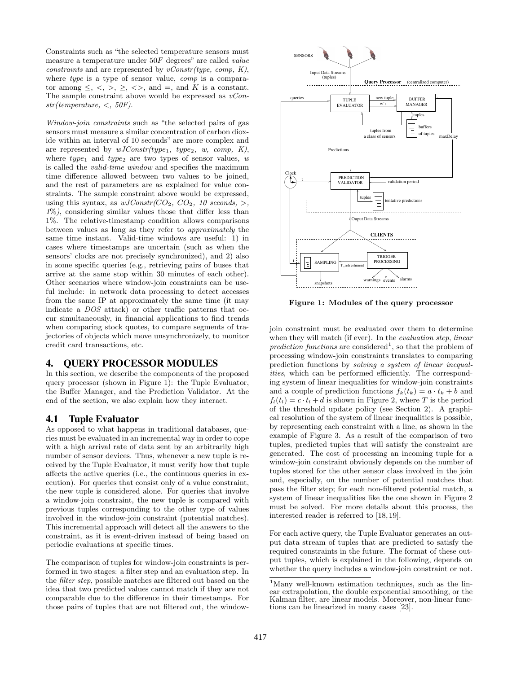Constraints such as "the selected temperature sensors must measure a temperature under 50F degrees" are called value constraints and are represented by  $vConstr(type, comp, K)$ , where *type* is a type of sensor value, *comp* is a comparator among  $\leq, \leq, \geq, \geq, \leq$ , and  $\equiv,$  and K is a constant. The sample constraint above would be expressed as  $vCon$  $str(temperature, <, 50F).$ 

Window-join constraints such as "the selected pairs of gas sensors must measure a similar concentration of carbon dioxide within an interval of 10 seconds" are more complex and are represented by  $wJConstr(type_1, type_2, w, comp, K)$ , where  $type_1$  and  $type_2$  are two types of sensor values, w is called the valid-time window and specifies the maximum time difference allowed between two values to be joined, and the rest of parameters are as explained for value constraints. The sample constraint above would be expressed, using this syntax, as  $wJConstr(CO_2, CO_2, 10 seconds, >)$ ,  $1\%$ ), considering similar values those that differ less than 1%. The relative-timestamp condition allows comparisons between values as long as they refer to approximately the same time instant. Valid-time windows are useful: 1) in cases where timestamps are uncertain (such as when the sensors' clocks are not precisely synchronized), and 2) also in some specific queries (e.g., retrieving pairs of buses that arrive at the same stop within 30 minutes of each other). Other scenarios where window-join constraints can be useful include: in network data processing to detect accesses from the same IP at approximately the same time (it may indicate a DOS attack) or other traffic patterns that occur simultaneously, in financial applications to find trends when comparing stock quotes, to compare segments of trajectories of objects which move unsynchronizely, to monitor credit card transactions, etc.

# **4. QUERY PROCESSOR MODULES**

In this section, we describe the components of the proposed query processor (shown in Figure 1): the Tuple Evaluator, the Buffer Manager, and the Prediction Validator. At the end of the section, we also explain how they interact.

## **4.1 Tuple Evaluator**

As opposed to what happens in traditional databases, queries must be evaluated in an incremental way in order to cope with a high arrival rate of data sent by an arbitrarily high number of sensor devices. Thus, whenever a new tuple is received by the Tuple Evaluator, it must verify how that tuple affects the active queries (i.e., the continuous queries in execution). For queries that consist only of a value constraint, the new tuple is considered alone. For queries that involve a window-join constraint, the new tuple is compared with previous tuples corresponding to the other type of values involved in the window-join constraint (potential matches). This incremental approach will detect all the answers to the constraint, as it is event-driven instead of being based on periodic evaluations at specific times.

The comparison of tuples for window-join constraints is performed in two stages: a filter step and an evaluation step. In the filter step, possible matches are filtered out based on the idea that two predicted values cannot match if they are not comparable due to the difference in their timestamps. For those pairs of tuples that are not filtered out, the window-



Figure 1: Modules of the query processor

join constraint must be evaluated over them to determine when they will match (if ever). In the *evaluation step, linear* prediction functions are considered<sup>1</sup>, so that the problem of processing window-join constraints translates to comparing prediction functions by solving a system of linear inequalities, which can be performed efficiently. The corresponding system of linear inequalities for window-join constraints and a couple of prediction functions  $f_k(t_k) = a \cdot t_k + b$  and  $f_l(t_l) = c \cdot t_l + d$  is shown in Figure 2, where T is the period of the threshold update policy (see Section 2). A graphical resolution of the system of linear inequalities is possible, by representing each constraint with a line, as shown in the example of Figure 3. As a result of the comparison of two tuples, predicted tuples that will satisfy the constraint are generated. The cost of processing an incoming tuple for a window-join constraint obviously depends on the number of tuples stored for the other sensor class involved in the join and, especially, on the number of potential matches that pass the filter step; for each non-filtered potential match, a system of linear inequalities like the one shown in Figure 2 must be solved. For more details about this process, the interested reader is referred to [18, 19].

For each active query, the Tuple Evaluator generates an output data stream of tuples that are predicted to satisfy the required constraints in the future. The format of these output tuples, which is explained in the following, depends on whether the query includes a window-join constraint or not.

<sup>1</sup>Many well-known estimation techniques, such as the linear extrapolation, the double exponential smoothing, or the Kalman filter, are linear models. Moreover, non-linear functions can be linearized in many cases [23].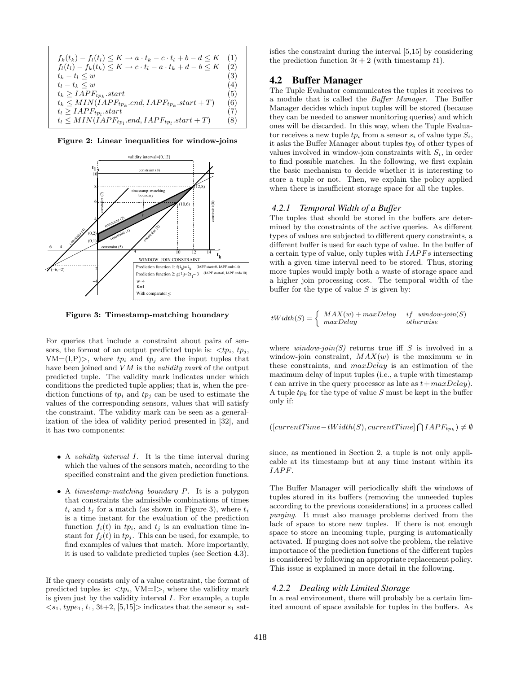| $f_k(t_k) - f_l(t_l) \leq K \rightarrow a \cdot t_k - c \cdot t_l + b - d \leq K$ | (1) |
|-----------------------------------------------------------------------------------|-----|
| $f_l(t_l) - f_k(t_k) \leq K \rightarrow c \cdot t_l - a \cdot t_k + d - b \leq K$ | (2) |
| $t_k-t_l\leq w$                                                                   | (3) |
| $t_l-t_k\leq w$                                                                   | (4) |
| $t_k \geq IAPF_{tp_k}.start$                                                      | (5) |
| $t_k \le MIN(IAPF_{tp_k}.end, IAPF_{tp_k}.start+T)$                               | (6) |
| $t_l \geq IAPF_{tp_l}.start$                                                      | (7) |
| $t_l \le MIN(IAPF_{tp_l}.end, IAPF_{tp_l}.start+T)$                               | (8) |

Figure 2: Linear inequalities for window-joins



Figure 3: Timestamp-matching boundary

For queries that include a constraint about pairs of sensors, the format of an output predicted tuple is:  $\langle tp_i, tp_j, \rangle$ VM=(I,P)>, where  $tp_i$  and  $tp_j$  are the input tuples that have been joined and  $VM$  is the *validity mark* of the output predicted tuple. The validity mark indicates under which conditions the predicted tuple applies; that is, when the prediction functions of  $tp_i$  and  $tp_i$  can be used to estimate the values of the corresponding sensors, values that will satisfy the constraint. The validity mark can be seen as a generalization of the idea of validity period presented in [32], and it has two components:

- A *validity interval I*. It is the time interval during which the values of the sensors match, according to the specified constraint and the given prediction functions.
- A *timestamp-matching boundary P*. It is a polygon that constraints the admissible combinations of times  $t_i$  and  $t_j$  for a match (as shown in Figure 3), where  $t_i$ is a time instant for the evaluation of the prediction function  $f_i(t)$  in  $tp_i$ , and  $t_j$  is an evaluation time instant for  $f_i(t)$  in  $tp_i$ . This can be used, for example, to find examples of values that match. More importantly, it is used to validate predicted tuples (see Section 4.3).

If the query consists only of a value constraint, the format of predicted tuples is:  $\langle tp_i, VM=I \rangle$ , where the validity mark is given just by the validity interval  $I$ . For example, a tuple  $\langle s_1, type_1, t_1, 3t+2, [5, 15] \rangle$  indicates that the sensor  $s_1$  satisfies the constraint during the interval [5,15] by considering the prediction function  $3t + 2$  (with timestamp t1).

## **4.2 Buffer Manager**

The Tuple Evaluator communicates the tuples it receives to a module that is called the Buffer Manager. The Buffer Manager decides which input tuples will be stored (because they can be needed to answer monitoring queries) and which ones will be discarded. In this way, when the Tuple Evaluator receives a new tuple  $tp_i$  from a sensor  $s_i$  of value type  $S_i$ , it asks the Buffer Manager about tuples  $tp_k$  of other types of values involved in window-join constraints with  $S_i$ , in order to find possible matches. In the following, we first explain the basic mechanism to decide whether it is interesting to store a tuple or not. Then, we explain the policy applied when there is insufficient storage space for all the tuples.

#### *4.2.1 Temporal Width of a Buffer*

The tuples that should be stored in the buffers are determined by the constraints of the active queries. As different types of values are subjected to different query constraints, a different buffer is used for each type of value. In the buffer of a certain type of value, only tuples with  $IAPFs$  intersecting with a given time interval need to be stored. Thus, storing more tuples would imply both a waste of storage space and a higher join processing cost. The temporal width of the buffer for the type of value  $S$  is given by:

$$
tWidth(S) = \left\{ \begin{array}{ll} MAX(w) + maxDelay & if \ window\text{-}join(S) \\ maxDelay & otherwise \end{array} \right.
$$

where  $window\text{-}join(S)$  returns true iff S is involved in a window-join constraint,  $MAX(w)$  is the maximum w in these constraints, and maxDelay is an estimation of the maximum delay of input tuples (i.e., a tuple with timestamp t can arrive in the query processor as late as  $t+maxDelay$ . A tuple  $tp_k$  for the type of value S must be kept in the buffer only if:

 $([currentTime - tWidth(S), currentTime] \bigcap IAPF_{tp_k}) \neq \emptyset$ 

since, as mentioned in Section 2, a tuple is not only applicable at its timestamp but at any time instant within its IAPF.

The Buffer Manager will periodically shift the windows of tuples stored in its buffers (removing the unneeded tuples according to the previous considerations) in a process called purging. It must also manage problems derived from the lack of space to store new tuples. If there is not enough space to store an incoming tuple, purging is automatically activated. If purging does not solve the problem, the relative importance of the prediction functions of the different tuples is considered by following an appropriate replacement policy. This issue is explained in more detail in the following.

## *4.2.2 Dealing with Limited Storage*

In a real environment, there will probably be a certain limited amount of space available for tuples in the buffers. As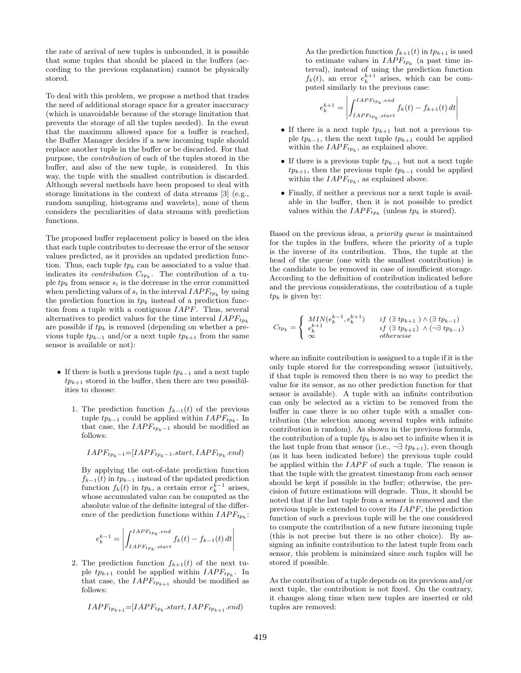the rate of arrival of new tuples is unbounded, it is possible that some tuples that should be placed in the buffers (according to the previous explanation) cannot be physically stored.

To deal with this problem, we propose a method that trades the need of additional storage space for a greater inaccuracy (which is unavoidable because of the storage limitation that prevents the storage of all the tuples needed). In the event that the maximum allowed space for a buffer is reached, the Buffer Manager decides if a new incoming tuple should replace another tuple in the buffer or be discarded. For that purpose, the contribution of each of the tuples stored in the buffer, and also of the new tuple, is considered. In this way, the tuple with the smallest contribution is discarded. Although several methods have been proposed to deal with storage limitations in the context of data streams [3] (e.g., random sampling, histograms and wavelets), none of them considers the peculiarities of data streams with prediction functions.

The proposed buffer replacement policy is based on the idea that each tuple contributes to decrease the error of the sensor values predicted, as it provides an updated prediction function. Thus, each tuple  $tp_k$  can be associated to a value that indicates its *contribution*  $C_{tp_k}$ . The contribution of a tuple  $tp_k$  from sensor  $s_i$  is the decrease in the error committed when predicting values of  $s_i$  in the interval  $IAPF_{tp_k}$  by using the prediction function in  $tp_k$  instead of a prediction function from a tuple with a contiguous  $IAPF$ . Thus, several alternatives to predict values for the time interval  $IAPF_{tp_k}$ are possible if  $tp_k$  is removed (depending on whether a previous tuple  $tp_{k-1}$  and/or a next tuple  $tp_{k+1}$  from the same sensor is available or not):

- If there is both a previous tuple  $tp_{k-1}$  and a next tuple  $tp_{k+1}$  stored in the buffer, then there are two possibilities to choose:
	- 1. The prediction function  $f_{k-1}(t)$  of the previous tuple  $tp_{k-1}$  could be applied within  $IAPF_{tp_k}$ . In that case, the  $IAPF_{tp_k-1}$  should be modified as follows:

$$
IAPF_{tp_k-1} \!\!=\!\! [IAPF_{tp_k-1}.start, IAPF_{tp_k}.end]
$$

By applying the out-of-date prediction function  $f_{k-1}(t)$  in  $tp_{k-1}$  instead of the updated prediction function  $f_k(t)$  in  $tp_k$ , a certain error  $e_k^{k-1}$  arises, whose accumulated value can be computed as the absolute value of the definite integral of the difference of the prediction functions within  $IAPF_{tp_k}$ :

$$
e_k^{k-1} = \left| \int_{IAPF_{tp_k}.start}^{IAPF_{tp_k}.end} f_k(t) - f_{k-1}(t) dt \right|
$$

2. The prediction function  $f_{k+1}(t)$  of the next tuple  $tp_{k+1}$  could be applied within  $IAPF_{tp_k}$ . In that case, the  $IAPF_{tp_{k+1}}$  should be modified as follows:

$$
IAPF_{tp_{k+1}}\!=\![IAPF_{tp_k}.start, IAPF_{tp_{k+1}}.end)
$$

As the prediction function  $f_{k+1}(t)$  in  $tp_{k+1}$  is used to estimate values in  $IAPF_{tp_k}$  (a past time interval), instead of using the prediction function  $f_k(t)$ , an error  $e_k^{k+1}$  arises, which can be computed similarly to the previous case:

$$
e_k^{k+1} = \left| \int_{IAPF_{tp_k}, start}^{IAPF_{tp_k}, end} f_k(t) - f_{k+1}(t) dt \right|
$$

- If there is a next tuple  $tp_{k+1}$  but not a previous tuple  $tp_{k-1}$ , then the next tuple  $tp_{k+1}$  could be applied within the  $IAPF_{tp_k}$ , as explained above.
- If there is a previous tuple  $tp_{k-1}$  but not a next tuple  $tp_{k+1}$ , then the previous tuple  $tp_{k-1}$  could be applied within the  $IAPF_{tp_k}$ , as explained above.
- Finally, if neither a previous nor a next tuple is available in the buffer, then it is not possible to predict values within the  $IAPF_{tp_k}$  (unless  $tp_k$  is stored).

Based on the previous ideas, a priority queue is maintained for the tuples in the buffers, where the priority of a tuple is the inverse of its contribution. Thus, the tuple at the head of the queue (one with the smallest contribution) is the candidate to be removed in case of insufficient storage. According to the definition of contribution indicated before and the previous considerations, the contribution of a tuple  $tp_k$  is given by:

$$
C_{tp_k} = \begin{cases} \n\frac{MIN(e_k^{k-1}, e_k^{k+1})}{k} & \text{if } (\exists \tp_{k+1}) \land (\exists \tp_{k-1})\\ \n\frac{e_k^{k+1}}{k} & \text{if } (\exists \tp_{k+1}) \land (\neg \exists \tp_{k-1})\\ \n\infty & \text{otherwise} \n\end{cases}
$$

where an infinite contribution is assigned to a tuple if it is the only tuple stored for the corresponding sensor (intuitively, if that tuple is removed then there is no way to predict the value for its sensor, as no other prediction function for that sensor is available). A tuple with an infinite contribution can only be selected as a victim to be removed from the buffer in case there is no other tuple with a smaller contribution (the selection among several tuples with infinite contribution is random). As shown in the previous formula, the contribution of a tuple  $tp_k$  is also set to infinite when it is the last tuple from that sensor (i.e.,  $\neg \exists tp_{k+1}$ ), even though (as it has been indicated before) the previous tuple could be applied within the  $IAPF$  of such a tuple. The reason is that the tuple with the greatest timestamp from each sensor should be kept if possible in the buffer; otherwise, the precision of future estimations will degrade. Thus, it should be noted that if the last tuple from a sensor is removed and the previous tuple is extended to cover its  $IAPF$ , the prediction function of such a previous tuple will be the one considered to compute the contribution of a new future incoming tuple (this is not precise but there is no other choice). By assigning an infinite contribution to the latest tuple from each sensor, this problem is minimized since such tuples will be stored if possible.

As the contribution of a tuple depends on its previous and/or next tuple, the contribution is not fixed. On the contrary, it changes along time when new tuples are inserted or old tuples are removed: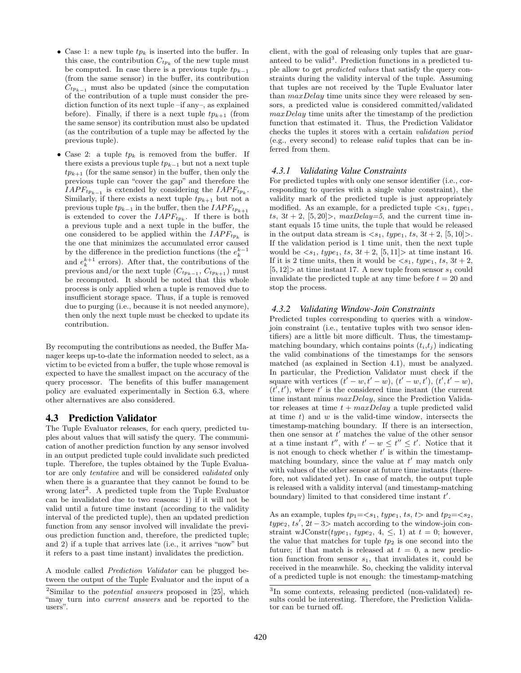- Case 1: a new tuple  $tp_k$  is inserted into the buffer. In this case, the contribution  $C_{tp_k}$  of the new tuple must be computed. In case there is a previous tuple  $tp_{k-1}$ (from the same sensor) in the buffer, its contribution  $C_{tp_{k-1}}$  must also be updated (since the computation of the contribution of a tuple must consider the prediction function of its next tuple –if any–, as explained before). Finally, if there is a next tuple  $tp_{k+1}$  (from the same sensor) its contribution must also be updated (as the contribution of a tuple may be affected by the previous tuple).
- Case 2: a tuple  $tp_k$  is removed from the buffer. If there exists a previous tuple  $tp_{k-1}$  but not a next tuple  $tp_{k+1}$  (for the same sensor) in the buffer, then only the previous tuple can "cover the gap" and therefore the  $IAPF_{tp_{k-1}}$  is extended by considering the  $IAPF_{tp_k}$ . Similarly, if there exists a next tuple  $tp_{k+1}$  but not a previous tuple  $tp_{k-1}$  in the buffer, then the  $IAPF_{tp_{k+1}}$ is extended to cover the  $IAPF_{tp_k}$ . If there is both a previous tuple and a next tuple in the buffer, the one considered to be applied within the  $IAPF_{tp_k}$  is the one that minimizes the accumulated error caused by the difference in the prediction functions (the  $e_k^{k-1}$ and  $e_k^{k+1}$  errors). After that, the contributions of the previous and/or the next tuple  $(C_{tp_{k-1}}, C_{tp_{k+1}})$  must be recomputed. It should be noted that this whole process is only applied when a tuple is removed due to insufficient storage space. Thus, if a tuple is removed due to purging (i.e., because it is not needed anymore), then only the next tuple must be checked to update its contribution.

By recomputing the contributions as needed, the Buffer Manager keeps up-to-date the information needed to select, as a victim to be evicted from a buffer, the tuple whose removal is expected to have the smallest impact on the accuracy of the query processor. The benefits of this buffer management policy are evaluated experimentally in Section 6.3, where other alternatives are also considered.

#### **4.3 Prediction Validator**

The Tuple Evaluator releases, for each query, predicted tuples about values that will satisfy the query. The communication of another prediction function by any sensor involved in an output predicted tuple could invalidate such predicted tuple. Therefore, the tuples obtained by the Tuple Evaluator are only tentative and will be considered validated only when there is a guarantee that they cannot be found to be wrong later<sup>2</sup>. A predicted tuple from the Tuple Evaluator can be invalidated due to two reasons: 1) if it will not be valid until a future time instant (according to the validity interval of the predicted tuple), then an updated prediction function from any sensor involved will invalidate the previous prediction function and, therefore, the predicted tuple; and 2) if a tuple that arrives late (i.e., it arrives "now" but it refers to a past time instant) invalidates the prediction.

A module called Prediction Validator can be plugged between the output of the Tuple Evaluator and the input of a client, with the goal of releasing only tuples that are guaranteed to be valid<sup>3</sup>. Prediction functions in a predicted tuple allow to get predicted values that satisfy the query constraints during the validity interval of the tuple. Assuming that tuples are not received by the Tuple Evaluator later than  $maxDelay$  time units since they were released by sensors, a predicted value is considered committed/validated maxDelay time units after the timestamp of the prediction function that estimated it. Thus, the Prediction Validator checks the tuples it stores with a certain validation period (e.g., every second) to release valid tuples that can be inferred from them.

## *4.3.1 Validating Value Constraints*

For predicted tuples with only one sensor identifier (i.e., corresponding to queries with a single value constraint), the validity mark of the predicted tuple is just appropriately modified. As an example, for a predicted tuple  $\langle s_1, \text{type}_1, \text{type}_2, \text{type}_3, \text{type}_4, \text{type}_4, \text{type}_5, \text{type}_6, \text{type}_7, \text{type}_7, \text{type}_8, \text{type}_9, \text{type}_9, \text{type}_1, \text{type}_1, \text{type}_1, \text{type}_1, \text{type}_1, \text{type}_1, \text{type}_2, \text{type}_1, \text{type}_2, \text{type}_2, \text{type}_3, \text{type}_3$ ts,  $3t + 2$ ,  $[5, 20]$ ,  $maxDelay=5$ , and the current time instant equals 15 time units, the tuple that would be released in the output data stream is  $\langle s_1, type_1, ts, 3t + 2, [5, 10] \rangle$ . If the validation period is 1 time unit, then the next tuple would be  $\langle s_1, \text{type}_1, \text{ts}, 3t + 2, [5, 11] \rangle$  at time instant 16. If it is 2 time units, then it would be  $\langle s_1, type_1, ts, 3t + 2,$  $[5, 12]$  at time instant 17. A new tuple from sensor  $s_1$  could invalidate the predicted tuple at any time before  $t = 20$  and stop the process.

## *4.3.2 Validating Window-Join Constraints*

Predicted tuples corresponding to queries with a windowjoin constraint (i.e., tentative tuples with two sensor identifiers) are a little bit more difficult. Thus, the timestampmatching boundary, which contains points  $(t_i,t_j)$  indicating the valid combinations of the timestamps for the sensors matched (as explained in Section 4.1), must be analyzed. In particular, the Prediction Validator must check if the square with vertices  $(t'-w,t'-w)$ ,  $(t'-w,t')$ ,  $(t',t'-w)$ ,  $(t', t')$ , where  $t'$  is the considered time instant (the current time instant minus  $maxDelay$ , since the Prediction Validator releases at time  $t + maxDelay$  a tuple predicted valid at time  $t$ ) and  $w$  is the valid-time window, intersects the timestamp-matching boundary. If there is an intersection, then one sensor at  $t'$  matches the value of the other sensor at a time instant  $t''$ , with  $t' - w \leq t'' \leq t'$ . Notice that it is not enough to check whether  $t'$  is within the timestampmatching boundary, since the value at  $t'$  may match only with values of the other sensor at future time instants (therefore, not validated yet). In case of match, the output tuple is released with a validity interval (and timestamp-matching boundary) limited to that considered time instant  $t'$ .

As an example, tuples  $tp_1 = \langle s_1, type_1, ts, t \rangle$  and  $tp_2 = \langle s_2,$  $type_2, ts', 2t - 3$  match according to the window-join constraint wJConstr(type<sub>1</sub>, type<sub>2</sub>, 4,  $\leq$ , 1) at  $t = 0$ ; however, the value that matches for tuple  $tp_2$  is one second into the future; if that match is released at  $t = 0$ , a new prediction function from sensor  $s_1$ , that invalidates it, could be received in the meanwhile. So, checking the validity interval of a predicted tuple is not enough: the timestamp-matching

 $2$ Similar to the *potential answers* proposed in [25], which "may turn into *current answers* and be reported to the users".

<sup>3</sup> In some contexts, releasing predicted (non-validated) results could be interesting. Therefore, the Prediction Validator can be turned off.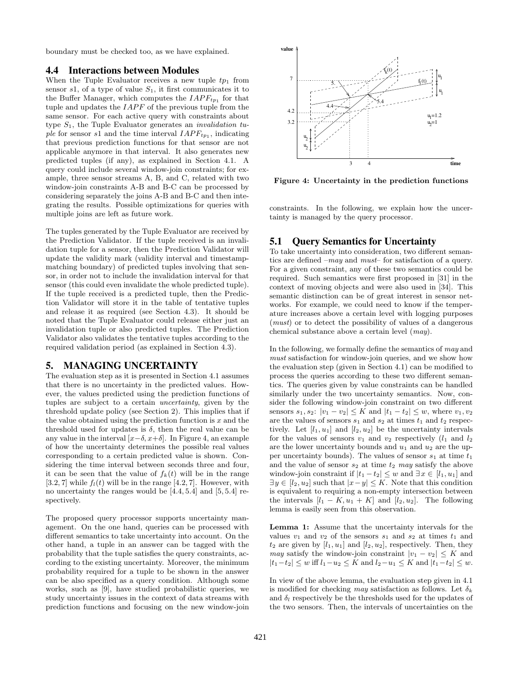boundary must be checked too, as we have explained.

#### **4.4 Interactions between Modules**

When the Tuple Evaluator receives a new tuple  $tp_1$  from sensor  $s1$ , of a type of value  $S_1$ , it first communicates it to the Buffer Manager, which computes the  $IAPF_{tp_1}$  for that tuple and updates the  $IAPF$  of the previous tuple from the same sensor. For each active query with constraints about type  $S_1$ , the Tuple Evaluator generates an *invalidation tu*ple for sensor  $s1$  and the time interval  $IAPF_{tp1}$ , indicating that previous prediction functions for that sensor are not applicable anymore in that interval. It also generates new predicted tuples (if any), as explained in Section 4.1. A query could include several window-join constraints; for example, three sensor streams A, B, and C, related with two window-join constraints A-B and B-C can be processed by considering separately the joins A-B and B-C and then integrating the results. Possible optimizations for queries with multiple joins are left as future work.

The tuples generated by the Tuple Evaluator are received by the Prediction Validator. If the tuple received is an invalidation tuple for a sensor, then the Prediction Validator will update the validity mark (validity interval and timestampmatching boundary) of predicted tuples involving that sensor, in order not to include the invalidation interval for that sensor (this could even invalidate the whole predicted tuple). If the tuple received is a predicted tuple, then the Prediction Validator will store it in the table of tentative tuples and release it as required (see Section 4.3). It should be noted that the Tuple Evaluator could release either just an invalidation tuple or also predicted tuples. The Prediction Validator also validates the tentative tuples according to the required validation period (as explained in Section 4.3).

# **5. MANAGING UNCERTAINTY**

The evaluation step as it is presented in Section 4.1 assumes that there is no uncertainty in the predicted values. However, the values predicted using the prediction functions of tuples are subject to a certain uncertainty, given by the threshold update policy (see Section 2). This implies that if the value obtained using the prediction function is  $x$  and the threshold used for updates is  $\delta$ , then the real value can be any value in the interval  $[x-\delta, x+\delta]$ . In Figure 4, an example of how the uncertainty determines the possible real values corresponding to a certain predicted value is shown. Considering the time interval between seconds three and four, it can be seen that the value of  $f_k(t)$  will be in the range [3.2, 7] while  $f_l(t)$  will be in the range [4.2, 7]. However, with no uncertainty the ranges would be [4.4, 5.4] and [5, 5.4] respectively.

The proposed query processor supports uncertainty management. On the one hand, queries can be processed with different semantics to take uncertainty into account. On the other hand, a tuple in an answer can be tagged with the probability that the tuple satisfies the query constraints, according to the existing uncertainty. Moreover, the minimum probability required for a tuple to be shown in the answer can be also specified as a query condition. Although some works, such as [9], have studied probabilistic queries, we study uncertainty issues in the context of data streams with prediction functions and focusing on the new window-join



Figure 4: Uncertainty in the prediction functions

constraints. In the following, we explain how the uncertainty is managed by the query processor.

## **5.1 Query Semantics for Uncertainty**

To take uncertainty into consideration, two different semantics are defined –may and must– for satisfaction of a query. For a given constraint, any of these two semantics could be required. Such semantics were first proposed in [31] in the context of moving objects and were also used in [34]. This semantic distinction can be of great interest in sensor networks. For example, we could need to know if the temperature increases above a certain level with logging purposes (must) or to detect the possibility of values of a dangerous chemical substance above a certain level (may).

In the following, we formally define the semantics of may and must satisfaction for window-join queries, and we show how the evaluation step (given in Section 4.1) can be modified to process the queries according to these two different semantics. The queries given by value constraints can be handled similarly under the two uncertainty semantics. Now, consider the following window-join constraint on two different sensors  $s_1, s_2$ :  $|v_1 - v_2| \le K$  and  $|t_1 - t_2| \le w$ , where  $v_1, v_2$ are the values of sensors  $s_1$  and  $s_2$  at times  $t_1$  and  $t_2$  respectively. Let  $[l_1, u_1]$  and  $[l_2, u_2]$  be the uncertainty intervals for the values of sensors  $v_1$  and  $v_2$  respectively  $(l_1 \text{ and } l_2)$ are the lower uncertainty bounds and  $u_1$  and  $u_2$  are the upper uncertainty bounds). The values of sensor  $s_1$  at time  $t_1$ and the value of sensor  $s_2$  at time  $t_2$  may satisfy the above window-join constraint if  $|t_1 - t_2| \leq w$  and  $\exists x \in [l_1, u_1]$  and  $\exists y \in [l_2, u_2]$  such that  $|x-y| \leq K$ . Note that this condition is equivalent to requiring a non-empty intersection between the intervals  $[l_1 - K, u_1 + K]$  and  $[l_2, u_2]$ . The following lemma is easily seen from this observation.

Lemma 1: Assume that the uncertainty intervals for the values  $v_1$  and  $v_2$  of the sensors  $s_1$  and  $s_2$  at times  $t_1$  and  $t_2$  are given by  $[l_1, u_1]$  and  $[l_2, u_2]$ , respectively. Then, they *may* satisfy the window-join constraint  $|v_1 - v_2| \leq K$  and  $|t_1-t_2| \leq w$  iff  $l_1-u_2 \leq K$  and  $l_2-u_1 \leq K$  and  $|t_1-t_2| \leq w$ .

In view of the above lemma, the evaluation step given in 4.1 is modified for checking may satisfaction as follows. Let  $\delta_k$ and  $\delta_l$  respectively be the thresholds used for the updates of the two sensors. Then, the intervals of uncertainties on the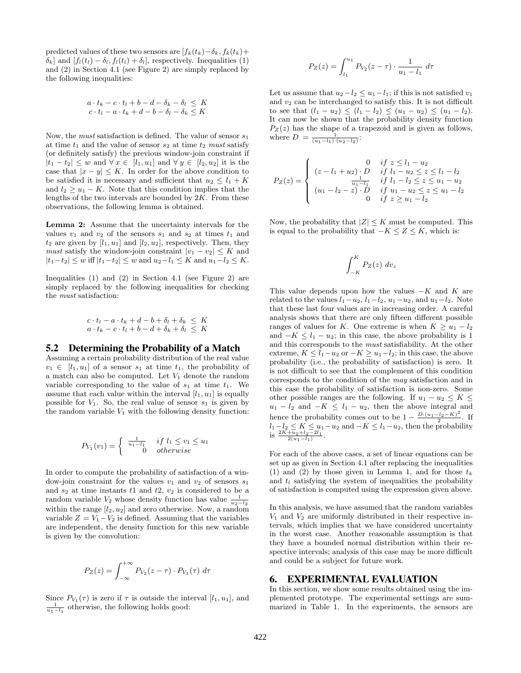predicted values of these two sensors are  $[f_k(t_k)-\delta_k, f_k(t_k)+\delta_k]$  $\delta_k$ ] and  $[f_l(t_l) - \delta_l, f_l(t_l) + \delta_l]$ , respectively. Inequalities (1) and (2) in Section 4.1 (see Figure 2) are simply replaced by the following inequalities:

$$
a \cdot t_k - c \cdot t_l + b - d - \delta_k - \delta_l \leq K
$$
  

$$
c \cdot t_l - a \cdot t_k + d - b - \delta_l - \delta_k \leq K
$$

Now, the *must* satisfaction is defined. The value of sensor  $s_1$ at time  $t_1$  and the value of sensor  $s_2$  at time  $t_2$  must satisfy (or definitely satisfy) the previous window-join constraint if  $|t_1 - t_2| \leq w$  and  $\forall x \in [l_1, u_1]$  and  $\forall y \in [l_2, u_2]$  it is the case that  $|x - y| \leq K$ . In order for the above condition to be satisfied it is necessary and sufficient that  $u_2 \leq l_1 + K$ and  $l_2 \geq u_1 - K$ . Note that this condition implies that the lengths of the two intervals are bounded by  $2K$ . From these observations, the following lemma is obtained.

Lemma 2: Assume that the uncertainty intervals for the values  $v_1$  and  $v_2$  of the sensors  $s_1$  and  $s_2$  at times  $t_1$  and  $t_2$  are given by  $[l_1, u_1]$  and  $[l_2, u_2]$ , respectively. Then, they must satisfy the window-join constraint  $|v_1 - v_2| \leq K$  and  $|t_1-t_2| \leq w$  iff  $|t_1-t_2| \leq w$  and  $u_2-l_1 \leq K$  and  $u_1-l_2 \leq K$ .

Inequalities (1) and (2) in Section 4.1 (see Figure 2) are simply replaced by the following inequalities for checking the must satisfaction:

$$
c \cdot t_l - a \cdot t_k + d - b + \delta_l + \delta_k \leq K
$$
  

$$
a \cdot t_k - c \cdot t_l + b - d + \delta_k + \delta_l \leq K
$$

## **5.2 Determining the Probability of a Match**

Assuming a certain probability distribution of the real value  $v_1 \in [l_1, u_1]$  of a sensor  $s_1$  at time  $t_1$ , the probability of a match can also be computed. Let  $V_1$  denote the random variable corresponding to the value of  $s_1$  at time  $t_1$ . We assume that each value within the interval  $[l_1, u_1]$  is equally possible for  $V_1$ . So, the real value of sensor  $s_1$  is given by the random variable  $V_1$  with the following density function:

$$
P_{V_1}(v_1) = \begin{cases} \frac{1}{u_1 - l_1} & \text{if } l_1 \le v_1 \le u_1 \\ 0 & \text{otherwise} \end{cases}
$$

In order to compute the probability of satisfaction of a window-join constraint for the values  $v_1$  and  $v_2$  of sensors  $s_1$ and  $s_2$  at time instants  $t_1$  and  $t_2$ ,  $v_2$  is considered to be a random variable  $V_2$  whose density function has value  $\frac{1}{u_2-l_2}$ within the range  $[l_2, u_2]$  and zero otherwise. Now, a random variable  $Z = V_1 - V_2$  is defined. Assuming that the variables are independent, the density function for this new variable is given by the convolution:

$$
P_Z(z) = \int_{-\infty}^{+\infty} P_{V_2}(z-\tau) \cdot P_{V_1}(\tau) d\tau
$$

Since  $P_{V_1}(\tau)$  is zero if  $\tau$  is outside the interval  $[l_1, u_1]$ , and  $\frac{1}{u_1 - l_1}$  otherwise, the following holds good:

$$
P_Z(z) = \int_{l_1}^{u_1} P_{V_2}(z - \tau) \cdot \frac{1}{u_1 - l_1} d\tau
$$

Let us assume that  $u_2-l_2 \leq u_1-l_1$ ; if this is not satisfied  $v_1$ and  $v_2$  can be interchanged to satisfy this. It is not difficult to see that  $(l_1 - u_2) \leq (l_1 - l_2) \leq (u_1 - u_2) \leq (u_1 - l_2)$ . It can now be shown that the probability density function  $P_Z(z)$  has the shape of a trapezoid and is given as follows, where  $D = \frac{1}{(u_1 - l_1) \cdot (u_2 - l_2)}$ :

$$
P_Z(z) = \begin{cases} 0 & \text{if } z \le l_1 - u_2 \\ (z - l_1 + u_2) \cdot D & \text{if } l_1 - u_2 \le z \le l_1 - l_2 \\ \frac{1}{u_1 - l_1} & \text{if } l_1 - l_2 \le z \le u_1 - u_2 \\ (u_1 - l_2 - z) \cdot D & \text{if } u_1 - u_2 \le z \le u_1 - l_2 \\ 0 & \text{if } z \ge u_1 - l_2 \end{cases}
$$

Now, the probability that  $|Z| \leq K$  must be computed. This is equal to the probability that  $-K \leq Z \leq K$ , which is:

$$
\int_{-K}^{K} P_Z(z) \ dv_z
$$

This value depends upon how the values  $-K$  and K are related to the values  $l_1-u_2$ ,  $l_1-l_2$ ,  $u_1-u_2$ , and  $u_1-l_2$ . Note that these last four values are in increasing order. A careful analysis shows that there are only fifteen different possible ranges of values for K. One extreme is when  $K \geq u_1 - l_2$ and  $-K \leq l_1 - u_2$ ; in this case, the above probability is 1 and this corresponds to the must satisfiability. At the other extreme,  $K \leq l_1 - u_2$  or  $-K \geq u_1 - l_2$ ; in this case, the above probability (i.e., the probability of satisfaction) is zero. It is not difficult to see that the complement of this condition corresponds to the condition of the may satisfaction and in this case the probability of satisfaction is non-zero. Some other possible ranges are the following. If  $u_1 - u_2 \leq K \leq$  $u_1 - l_2$  and  $-K \leq l_1 - u_2$ , then the above integral and hence the probability comes out to be  $1 - \frac{D \cdot (u_1 - l_2 - K)^2}{2}$  $\frac{(2 - K)^2}{2}$ . If  $l_1-l_2 \leq K \leq u_1-u_2$  and  $-K \leq l_1-u_2$ , then the probability is  $\frac{2K+u_2+l_2-2l_1}{2(u_1-l_1)}$ .

For each of the above cases, a set of linear equations can be set up as given in Section 4.1 after replacing the inequalities (1) and (2) by those given in Lemma 1, and for those  $t_k$ and  $t_l$  satisfying the system of inequalities the probability of satisfaction is computed using the expression given above.

In this analysis, we have assumed that the random variables  $V_1$  and  $V_2$  are uniformly distributed in their respective intervals, which implies that we have considered uncertainty in the worst case. Another reasonable assumption is that they have a bounded normal distribution within their respective intervals; analysis of this case may be more difficult and could be a subject for future work.

## **6. EXPERIMENTAL EVALUATION**

In this section, we show some results obtained using the implemented prototype. The experimental settings are summarized in Table 1. In the experiments, the sensors are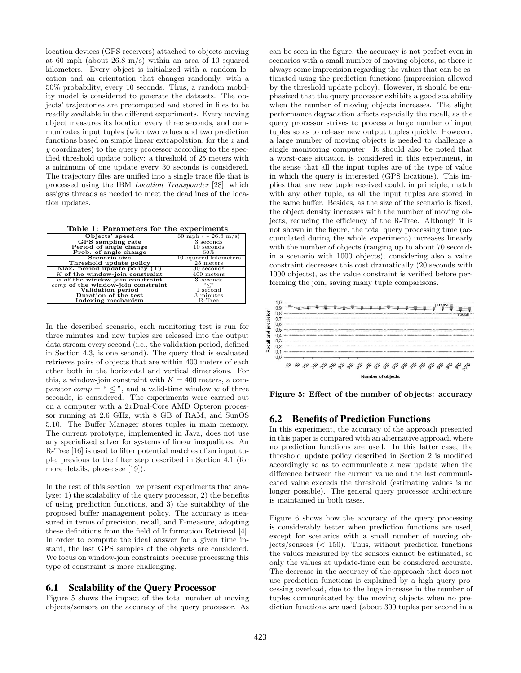location devices (GPS receivers) attached to objects moving at 60 mph (about 26.8 m/s) within an area of 10 squared kilometers. Every object is initialized with a random location and an orientation that changes randomly, with a 50% probability, every 10 seconds. Thus, a random mobility model is considered to generate the datasets. The objects' trajectories are precomputed and stored in files to be readily available in the different experiments. Every moving object measures its location every three seconds, and communicates input tuples (with two values and two prediction functions based on simple linear extrapolation, for the x and y coordinates) to the query processor according to the specified threshold update policy: a threshold of 25 meters with a minimum of one update every 30 seconds is considered. The trajectory files are unified into a single trace file that is processed using the IBM Location Transponder [28], which assigns threads as needed to meet the deadlines of the location updates.

Table 1: Parameters for the experiments

| rapic 1. 1 and increase for the experimented |                           |  |
|----------------------------------------------|---------------------------|--|
| Objects' speed                               | 60 mph ( $\sim$ 26.8 m/s) |  |
| <b>GPS</b> sampling rate                     | 3 seconds                 |  |
| Period of angle change                       | $10$ seconds              |  |
| Prob. of angle change                        | 50%                       |  |
| Scenario size                                | 10 squared kilometers     |  |
| Threshold update policy                      | 25 meters                 |  |
| Max. period update policy $(T)$              | 30 seconds                |  |
| K of the window-join constraint              | $400$ meters              |  |
| $w$ of the window-join constraint            | 3 seconds                 |  |
| $comp$ of the window-join constraint         | ``<"                      |  |
| Validation period                            | $1$ second                |  |
| Duration of the test                         | 3 minutes                 |  |
| Indexing mechanism                           | $R$ -Tree                 |  |

In the described scenario, each monitoring test is run for three minutes and new tuples are released into the output data stream every second (i.e., the validation period, defined in Section 4.3, is one second). The query that is evaluated retrieves pairs of objects that are within 400 meters of each other both in the horizontal and vertical dimensions. For this, a window-join constraint with  $K = 400$  meters, a comparator  $comp = " \leq "$ , and a valid-time window w of three seconds, is considered. The experiments were carried out on a computer with a 2xDual-Core AMD Opteron processor running at 2.6 GHz, with 8 GB of RAM, and SunOS 5.10. The Buffer Manager stores tuples in main memory. The current prototype, implemented in Java, does not use any specialized solver for systems of linear inequalities. An R-Tree [16] is used to filter potential matches of an input tuple, previous to the filter step described in Section 4.1 (for more details, please see [19]).

In the rest of this section, we present experiments that analyze: 1) the scalability of the query processor, 2) the benefits of using prediction functions, and 3) the suitability of the proposed buffer management policy. The accuracy is measured in terms of precision, recall, and F-measure, adopting these definitions from the field of Information Retrieval [4]. In order to compute the ideal answer for a given time instant, the last GPS samples of the objects are considered. We focus on window-join constraints because processing this type of constraint is more challenging.

# **6.1 Scalability of the Query Processor**

Figure 5 shows the impact of the total number of moving objects/sensors on the accuracy of the query processor. As

can be seen in the figure, the accuracy is not perfect even in scenarios with a small number of moving objects, as there is always some imprecision regarding the values that can be estimated using the prediction functions (imprecision allowed by the threshold update policy). However, it should be emphasized that the query processor exhibits a good scalability when the number of moving objects increases. The slight performance degradation affects especially the recall, as the query processor strives to process a large number of input tuples so as to release new output tuples quickly. However, a large number of moving objects is needed to challenge a single monitoring computer. It should also be noted that a worst-case situation is considered in this experiment, in the sense that all the input tuples are of the type of value in which the query is interested (GPS locations). This implies that any new tuple received could, in principle, match with any other tuple, as all the input tuples are stored in the same buffer. Besides, as the size of the scenario is fixed, the object density increases with the number of moving objects, reducing the efficiency of the R-Tree. Although it is not shown in the figure, the total query processing time (accumulated during the whole experiment) increases linearly with the number of objects (ranging up to about 70 seconds in a scenario with 1000 objects); considering also a value constraint decreases this cost dramatically (20 seconds with 1000 objects), as the value constraint is verified before performing the join, saving many tuple comparisons.



Figure 5: Effect of the number of objects: accuracy

# **6.2 Benefits of Prediction Functions**

In this experiment, the accuracy of the approach presented in this paper is compared with an alternative approach where no prediction functions are used. In this latter case, the threshold update policy described in Section 2 is modified accordingly so as to communicate a new update when the difference between the current value and the last communicated value exceeds the threshold (estimating values is no longer possible). The general query processor architecture is maintained in both cases.

Figure 6 shows how the accuracy of the query processing is considerably better when prediction functions are used, except for scenarios with a small number of moving objects/sensors (< 150). Thus, without prediction functions the values measured by the sensors cannot be estimated, so only the values at update-time can be considered accurate. The decrease in the accuracy of the approach that does not use prediction functions is explained by a high query processing overload, due to the huge increase in the number of tuples communicated by the moving objects when no prediction functions are used (about 300 tuples per second in a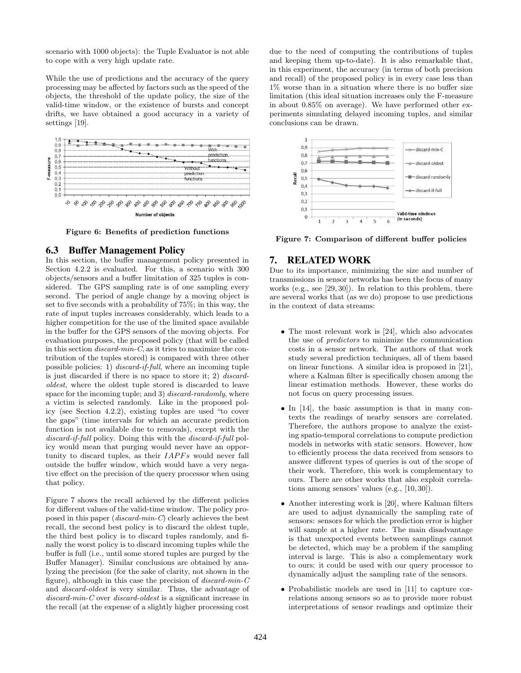scenario with 1000 objects): the Tuple Evaluator is not able to cope with a very high update rate.

While the use of predictions and the accuracy of the query processing may be affected by factors such as the speed of the objects, the threshold of the update policy, the size of the valid-time window, or the existence of bursts and concept drifts, we have obtained a good accuracy in a variety of settings [19].



Figure 6: Benefits of prediction functions

## **6.3 Buffer Management Policy**

In this section, the buffer management policy presented in Section 4.2.2 is evaluated. For this, a scenario with 300 objects/sensors and a buffer limitation of 325 tuples is considered. The GPS sampling rate is of one sampling every second. The period of angle change by a moving object is set to five seconds with a probability of 75%; in this way, the rate of input tuples increases considerably, which leads to a higher competition for the use of the limited space available in the buffer for the GPS sensors of the moving objects. For evaluation purposes, the proposed policy (that will be called in this section discard-min-C, as it tries to maximize the contribution of the tuples stored) is compared with three other possible policies: 1) discard-if-full, where an incoming tuple is just discarded if there is no space to store it; 2) discardoldest, where the oldest tuple stored is discarded to leave space for the incoming tuple; and 3) *discard-randomly*, where a victim is selected randomly. Like in the proposed policy (see Section 4.2.2), existing tuples are used "to cover the gaps" (time intervals for which an accurate prediction function is not available due to removals), except with the discard-if-full policy. Doing this with the discard-if-full policy would mean that purging would never have an opportunity to discard tuples, as their  $IAPFs$  would never fall outside the buffer window, which would have a very negative effect on the precision of the query processor when using that policy.

Figure 7 shows the recall achieved by the different policies for different values of the valid-time window. The policy proposed in this paper (discard-min-C) clearly achieves the best recall, the second best policy is to discard the oldest tuple, the third best policy is to discard tuples randomly, and finally the worst policy is to discard incoming tuples while the buffer is full (i.e., until some stored tuples are purged by the Buffer Manager). Similar conclusions are obtained by analyzing the precision (for the sake of clarity, not shown in the figure), although in this case the precision of  $discard-min-C$ and discard-oldest is very similar. Thus, the advantage of discard-min-C over discard-oldest is a significant increase in the recall (at the expense of a slightly higher processing cost

due to the need of computing the contributions of tuples and keeping them up-to-date). It is also remarkable that, in this experiment, the accuracy (in terms of both precision and recall) of the proposed policy is in every case less than 1% worse than in a situation where there is no buffer size limitation (this ideal situation increases only the F-measure in about 0.85% on average). We have performed other experiments simulating delayed incoming tuples, and similar conclusions can be drawn.



Figure 7: Comparison of different buffer policies

# **7. RELATED WORK**

Due to its importance, minimizing the size and number of transmissions in sensor networks has been the focus of many works (e.g., see [29, 30]). In relation to this problem, there are several works that (as we do) propose to use predictions in the context of data streams:

- The most relevant work is [24], which also advocates the use of predictors to minimize the communication costs in a sensor network. The authors of that work study several prediction techniques, all of them based on linear functions. A similar idea is proposed in [21], where a Kalman filter is specifically chosen among the linear estimation methods. However, these works do not focus on query processing issues.
- In [14], the basic assumption is that in many contexts the readings of nearby sensors are correlated. Therefore, the authors propose to analyze the existing spatio-temporal correlations to compute prediction models in networks with static sensors. However, how to efficiently process the data received from sensors to answer different types of queries is out of the scope of their work. Therefore, this work is complementary to ours. There are other works that also exploit correlations among sensors' values (e.g., [10, 30]).
- Another interesting work is [20], where Kalman filters are used to adjust dynamically the sampling rate of sensors: sensors for which the prediction error is higher will sample at a higher rate. The main disadvantage is that unexpected events between samplings cannot be detected, which may be a problem if the sampling interval is large. This is also a complementary work to ours: it could be used with our query processor to dynamically adjust the sampling rate of the sensors.
- Probabilistic models are used in [11] to capture correlations among sensors so as to provide more robust interpretations of sensor readings and optimize their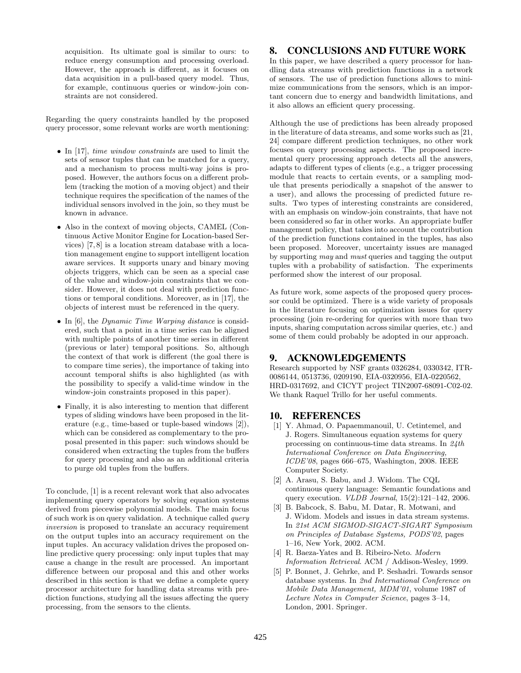acquisition. Its ultimate goal is similar to ours: to reduce energy consumption and processing overload. However, the approach is different, as it focuses on data acquisition in a pull-based query model. Thus, for example, continuous queries or window-join constraints are not considered.

Regarding the query constraints handled by the proposed query processor, some relevant works are worth mentioning:

- In [17], *time window constraints* are used to limit the sets of sensor tuples that can be matched for a query, and a mechanism to process multi-way joins is proposed. However, the authors focus on a different problem (tracking the motion of a moving object) and their technique requires the specification of the names of the individual sensors involved in the join, so they must be known in advance.
- Also in the context of moving objects, CAMEL (Continuous Active Monitor Engine for Location-based Services) [7, 8] is a location stream database with a location management engine to support intelligent location aware services. It supports unary and binary moving objects triggers, which can be seen as a special case of the value and window-join constraints that we consider. However, it does not deal with prediction functions or temporal conditions. Moreover, as in [17], the objects of interest must be referenced in the query.
- In [6], the *Dynamic Time Warping distance* is considered, such that a point in a time series can be aligned with multiple points of another time series in different (previous or later) temporal positions. So, although the context of that work is different (the goal there is to compare time series), the importance of taking into account temporal shifts is also highlighted (as with the possibility to specify a valid-time window in the window-join constraints proposed in this paper).
- Finally, it is also interesting to mention that different types of sliding windows have been proposed in the literature (e.g., time-based or tuple-based windows [2]), which can be considered as complementary to the proposal presented in this paper: such windows should be considered when extracting the tuples from the buffers for query processing and also as an additional criteria to purge old tuples from the buffers.

To conclude, [1] is a recent relevant work that also advocates implementing query operators by solving equation systems derived from piecewise polynomial models. The main focus of such work is on query validation. A technique called query inversion is proposed to translate an accuracy requirement on the output tuples into an accuracy requirement on the input tuples. An accuracy validation drives the proposed online predictive query processing: only input tuples that may cause a change in the result are processed. An important difference between our proposal and this and other works described in this section is that we define a complete query processor architecture for handling data streams with prediction functions, studying all the issues affecting the query processing, from the sensors to the clients.

# **8. CONCLUSIONS AND FUTURE WORK**

In this paper, we have described a query processor for handling data streams with prediction functions in a network of sensors. The use of prediction functions allows to minimize communications from the sensors, which is an important concern due to energy and bandwidth limitations, and it also allows an efficient query processing.

Although the use of predictions has been already proposed in the literature of data streams, and some works such as [21, 24] compare different prediction techniques, no other work focuses on query processing aspects. The proposed incremental query processing approach detects all the answers, adapts to different types of clients (e.g., a trigger processing module that reacts to certain events, or a sampling module that presents periodically a snapshot of the answer to a user), and allows the processing of predicted future results. Two types of interesting constraints are considered, with an emphasis on window-join constraints, that have not been considered so far in other works. An appropriate buffer management policy, that takes into account the contribution of the prediction functions contained in the tuples, has also been proposed. Moreover, uncertainty issues are managed by supporting may and must queries and tagging the output tuples with a probability of satisfaction. The experiments performed show the interest of our proposal.

As future work, some aspects of the proposed query processor could be optimized. There is a wide variety of proposals in the literature focusing on optimization issues for query processing (join re-ordering for queries with more than two inputs, sharing computation across similar queries, etc.) and some of them could probably be adopted in our approach.

# **9. ACKNOWLEDGEMENTS**

Research supported by NSF grants 0326284, 0330342, ITR-0086144, 0513736, 0209190, EIA-0320956, EIA-0220562, HRD-0317692, and CICYT project TIN2007-68091-C02-02. We thank Raquel Trillo for her useful comments.

## **10. REFERENCES**

- [1] Y. Ahmad, O. Papaemmanouil, U. Cetintemel, and J. Rogers. Simultaneous equation systems for query processing on continuous-time data streams. In 24th International Conference on Data Engineering, ICDE'08, pages 666–675, Washington, 2008. IEEE Computer Society.
- [2] A. Arasu, S. Babu, and J. Widom. The CQL continuous query language: Semantic foundations and query execution. VLDB Journal, 15(2):121–142, 2006.
- [3] B. Babcock, S. Babu, M. Datar, R. Motwani, and J. Widom. Models and issues in data stream systems. In 21st ACM SIGMOD-SIGACT-SIGART Symposium on Principles of Database Systems, PODS'02, pages 1–16, New York, 2002. ACM.
- [4] R. Baeza-Yates and B. Ribeiro-Neto. Modern Information Retrieval. ACM / Addison-Wesley, 1999.
- [5] P. Bonnet, J. Gehrke, and P. Seshadri. Towards sensor database systems. In 2nd International Conference on Mobile Data Management, MDM'01, volume 1987 of Lecture Notes in Computer Science, pages 3–14, London, 2001. Springer.